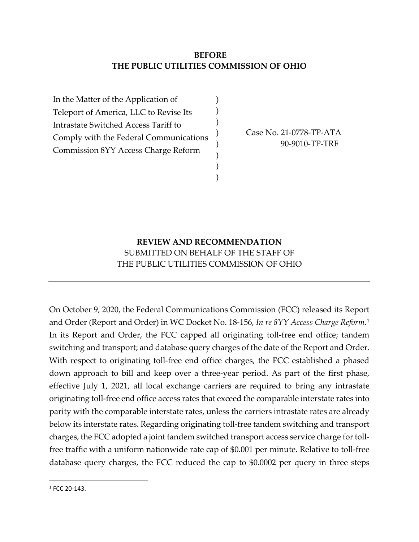## **BEFORE THE PUBLIC UTILITIES COMMISSION OF OHIO**

) ) ) ) ) ) ) )

In the Matter of the Application of Teleport of America, LLC to Revise Its Intrastate Switched Access Tariff to Comply with the Federal Communications Commission 8YY Access Charge Reform

Case No. 21-0778-TP-ATA 90-9010-TP-TRF

## **REVIEW AND RECOMMENDATION** SUBMITTED ON BEHALF OF THE STAFF OF THE PUBLIC UTILITIES COMMISSION OF OHIO

On October 9, 2020, the Federal Communications Commission (FCC) released its Report and Order (Report and Order) in WC Docket No. 18-156, *In re 8YY Access Charge Reform*.[1](#page-0-0) In its Report and Order, the FCC capped all originating toll-free end office; tandem switching and transport; and database query charges of the date of the Report and Order. With respect to originating toll-free end office charges, the FCC established a phased down approach to bill and keep over a three-year period. As part of the first phase, effective July 1, 2021, all local exchange carriers are required to bring any intrastate originating toll-free end office access rates that exceed the comparable interstate rates into parity with the comparable interstate rates, unless the carriers intrastate rates are already below its interstate rates. Regarding originating toll-free tandem switching and transport charges, the FCC adopted a joint tandem switched transport access service charge for tollfree traffic with a uniform nationwide rate cap of \$0.001 per minute. Relative to toll-free database query charges, the FCC reduced the cap to \$0.0002 per query in three steps

<span id="page-0-0"></span> $1 FCC 20-143$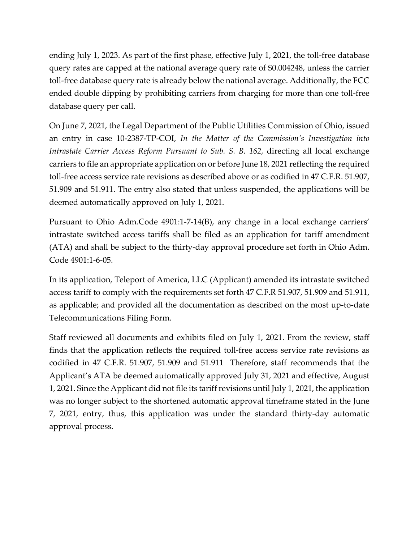ending July 1, 2023. As part of the first phase, effective July 1, 2021, the toll-free database query rates are capped at the national average query rate of \$0.004248, unless the carrier toll-free database query rate is already below the national average. Additionally, the FCC ended double dipping by prohibiting carriers from charging for more than one toll-free database query per call.

On June 7, 2021, the Legal Department of the Public Utilities Commission of Ohio, issued an entry in case 10-2387-TP-COI, *In the Matter of the Commission's Investigation into Intrastate Carrier Access Reform Pursuant to Sub. S. B. 162,* directing all local exchange carriers to file an appropriate application on or before June 18, 2021 reflecting the required toll-free access service rate revisions as described above or as codified in 47 C.F.R. 51.907, 51.909 and 51.911. The entry also stated that unless suspended, the applications will be deemed automatically approved on July 1, 2021.

Pursuant to Ohio Adm.Code 4901:1-7-14(B), any change in a local exchange carriers' intrastate switched access tariffs shall be filed as an application for tariff amendment (ATA) and shall be subject to the thirty-day approval procedure set forth in Ohio Adm. Code 4901:1-6-05.

In its application, Teleport of America, LLC (Applicant) amended its intrastate switched access tariff to comply with the requirements set forth 47 C.F.R 51.907, 51.909 and 51.911, as applicable; and provided all the documentation as described on the most up-to-date Telecommunications Filing Form.

Staff reviewed all documents and exhibits filed on July 1, 2021. From the review, staff finds that the application reflects the required toll-free access service rate revisions as codified in 47 C.F.R. 51.907, 51.909 and 51.911 Therefore, staff recommends that the Applicant's ATA be deemed automatically approved July 31, 2021 and effective, August 1, 2021. Since the Applicant did not file its tariff revisions until July 1, 2021, the application was no longer subject to the shortened automatic approval timeframe stated in the June 7, 2021, entry, thus, this application was under the standard thirty-day automatic approval process.